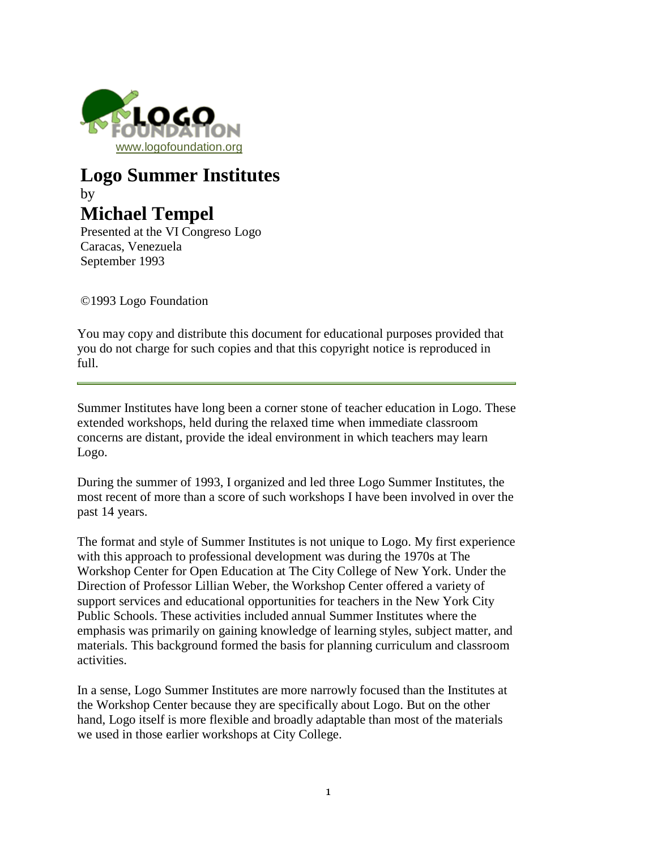

# **Logo Summer Institutes** by **Michael Tempel**

Presented at the VI Congreso Logo Caracas, Venezuela September 1993

©1993 Logo Foundation

You may copy and distribute this document for educational purposes provided that you do not charge for such copies and that this copyright notice is reproduced in full.

Summer Institutes have long been a corner stone of teacher education in Logo. These extended workshops, held during the relaxed time when immediate classroom concerns are distant, provide the ideal environment in which teachers may learn Logo.

During the summer of 1993, I organized and led three Logo Summer Institutes, the most recent of more than a score of such workshops I have been involved in over the past 14 years.

The format and style of Summer Institutes is not unique to Logo. My first experience with this approach to professional development was during the 1970s at The Workshop Center for Open Education at The City College of New York. Under the Direction of Professor Lillian Weber, the Workshop Center offered a variety of support services and educational opportunities for teachers in the New York City Public Schools. These activities included annual Summer Institutes where the emphasis was primarily on gaining knowledge of learning styles, subject matter, and materials. This background formed the basis for planning curriculum and classroom activities.

In a sense, Logo Summer Institutes are more narrowly focused than the Institutes at the Workshop Center because they are specifically about Logo. But on the other hand, Logo itself is more flexible and broadly adaptable than most of the materials we used in those earlier workshops at City College.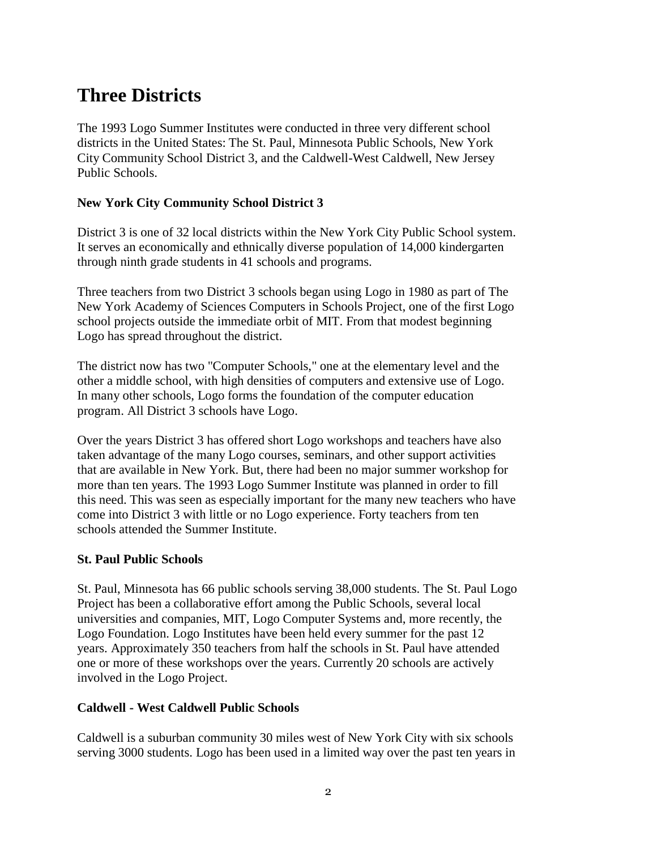# **Three Districts**

The 1993 Logo Summer Institutes were conducted in three very different school districts in the United States: The St. Paul, Minnesota Public Schools, New York City Community School District 3, and the Caldwell-West Caldwell, New Jersey Public Schools.

#### **New York City Community School District 3**

District 3 is one of 32 local districts within the New York City Public School system. It serves an economically and ethnically diverse population of 14,000 kindergarten through ninth grade students in 41 schools and programs.

Three teachers from two District 3 schools began using Logo in 1980 as part of The New York Academy of Sciences Computers in Schools Project, one of the first Logo school projects outside the immediate orbit of MIT. From that modest beginning Logo has spread throughout the district.

The district now has two "Computer Schools," one at the elementary level and the other a middle school, with high densities of computers and extensive use of Logo. In many other schools, Logo forms the foundation of the computer education program. All District 3 schools have Logo.

Over the years District 3 has offered short Logo workshops and teachers have also taken advantage of the many Logo courses, seminars, and other support activities that are available in New York. But, there had been no major summer workshop for more than ten years. The 1993 Logo Summer Institute was planned in order to fill this need. This was seen as especially important for the many new teachers who have come into District 3 with little or no Logo experience. Forty teachers from ten schools attended the Summer Institute.

#### **St. Paul Public Schools**

St. Paul, Minnesota has 66 public schools serving 38,000 students. The St. Paul Logo Project has been a collaborative effort among the Public Schools, several local universities and companies, MIT, Logo Computer Systems and, more recently, the Logo Foundation. Logo Institutes have been held every summer for the past 12 years. Approximately 350 teachers from half the schools in St. Paul have attended one or more of these workshops over the years. Currently 20 schools are actively involved in the Logo Project.

#### **Caldwell - West Caldwell Public Schools**

Caldwell is a suburban community 30 miles west of New York City with six schools serving 3000 students. Logo has been used in a limited way over the past ten years in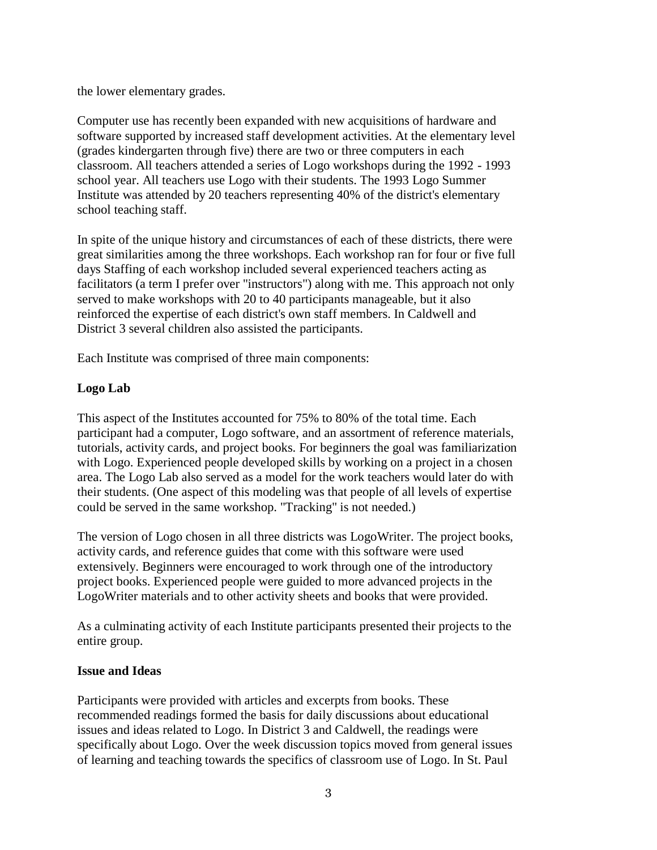the lower elementary grades.

Computer use has recently been expanded with new acquisitions of hardware and software supported by increased staff development activities. At the elementary level (grades kindergarten through five) there are two or three computers in each classroom. All teachers attended a series of Logo workshops during the 1992 - 1993 school year. All teachers use Logo with their students. The 1993 Logo Summer Institute was attended by 20 teachers representing 40% of the district's elementary school teaching staff.

In spite of the unique history and circumstances of each of these districts, there were great similarities among the three workshops. Each workshop ran for four or five full days Staffing of each workshop included several experienced teachers acting as facilitators (a term I prefer over "instructors") along with me. This approach not only served to make workshops with 20 to 40 participants manageable, but it also reinforced the expertise of each district's own staff members. In Caldwell and District 3 several children also assisted the participants.

Each Institute was comprised of three main components:

#### **Logo Lab**

This aspect of the Institutes accounted for 75% to 80% of the total time. Each participant had a computer, Logo software, and an assortment of reference materials, tutorials, activity cards, and project books. For beginners the goal was familiarization with Logo. Experienced people developed skills by working on a project in a chosen area. The Logo Lab also served as a model for the work teachers would later do with their students. (One aspect of this modeling was that people of all levels of expertise could be served in the same workshop. "Tracking" is not needed.)

The version of Logo chosen in all three districts was LogoWriter. The project books, activity cards, and reference guides that come with this software were used extensively. Beginners were encouraged to work through one of the introductory project books. Experienced people were guided to more advanced projects in the LogoWriter materials and to other activity sheets and books that were provided.

As a culminating activity of each Institute participants presented their projects to the entire group.

#### **Issue and Ideas**

Participants were provided with articles and excerpts from books. These recommended readings formed the basis for daily discussions about educational issues and ideas related to Logo. In District 3 and Caldwell, the readings were specifically about Logo. Over the week discussion topics moved from general issues of learning and teaching towards the specifics of classroom use of Logo. In St. Paul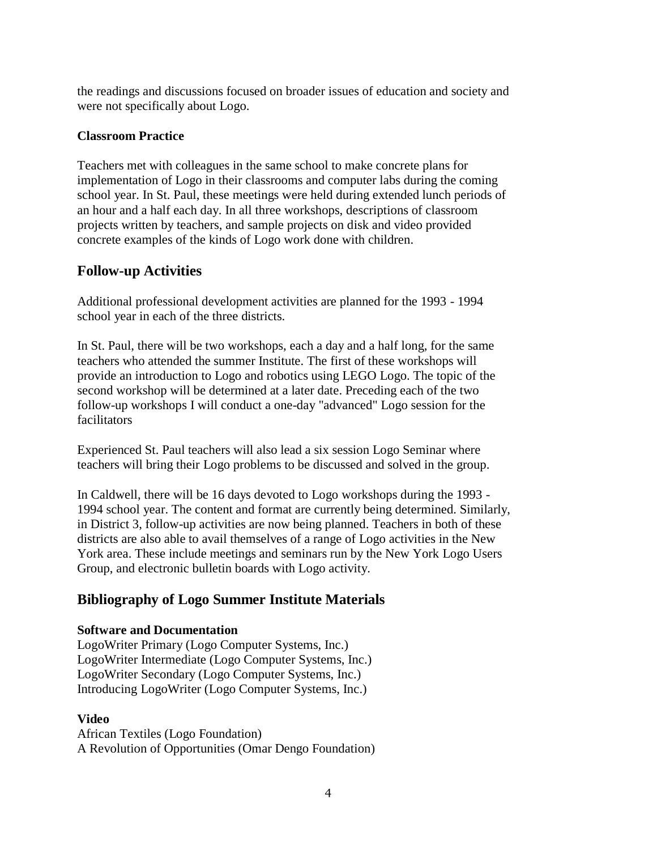the readings and discussions focused on broader issues of education and society and were not specifically about Logo.

#### **Classroom Practice**

Teachers met with colleagues in the same school to make concrete plans for implementation of Logo in their classrooms and computer labs during the coming school year. In St. Paul, these meetings were held during extended lunch periods of an hour and a half each day. In all three workshops, descriptions of classroom projects written by teachers, and sample projects on disk and video provided concrete examples of the kinds of Logo work done with children.

## **Follow-up Activities**

Additional professional development activities are planned for the 1993 - 1994 school year in each of the three districts.

In St. Paul, there will be two workshops, each a day and a half long, for the same teachers who attended the summer Institute. The first of these workshops will provide an introduction to Logo and robotics using LEGO Logo. The topic of the second workshop will be determined at a later date. Preceding each of the two follow-up workshops I will conduct a one-day "advanced" Logo session for the facilitators

Experienced St. Paul teachers will also lead a six session Logo Seminar where teachers will bring their Logo problems to be discussed and solved in the group.

In Caldwell, there will be 16 days devoted to Logo workshops during the 1993 - 1994 school year. The content and format are currently being determined. Similarly, in District 3, follow-up activities are now being planned. Teachers in both of these districts are also able to avail themselves of a range of Logo activities in the New York area. These include meetings and seminars run by the New York Logo Users Group, and electronic bulletin boards with Logo activity.

## **Bibliography of Logo Summer Institute Materials**

#### **Software and Documentation**

LogoWriter Primary (Logo Computer Systems, Inc.) LogoWriter Intermediate (Logo Computer Systems, Inc.) LogoWriter Secondary (Logo Computer Systems, Inc.) Introducing LogoWriter (Logo Computer Systems, Inc.)

#### **Video**

African Textiles (Logo Foundation) A Revolution of Opportunities (Omar Dengo Foundation)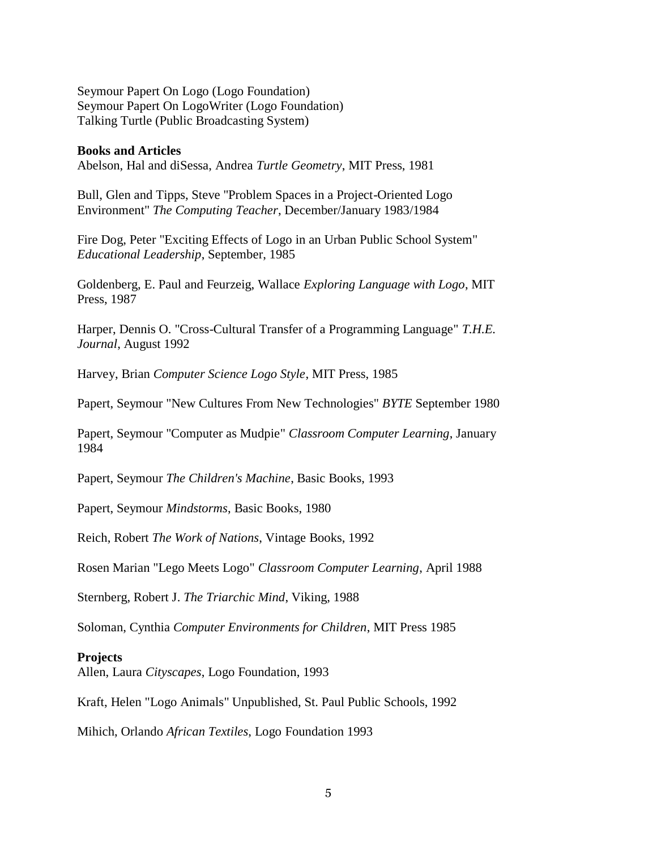Seymour Papert On Logo (Logo Foundation) Seymour Papert On LogoWriter (Logo Foundation) Talking Turtle (Public Broadcasting System)

#### **Books and Articles**

Abelson, Hal and diSessa, Andrea *Turtle Geometry*, MIT Press, 1981

Bull, Glen and Tipps, Steve "Problem Spaces in a Project-Oriented Logo Environment" *The Computing Teacher*, December/January 1983/1984

Fire Dog, Peter "Exciting Effects of Logo in an Urban Public School System" *Educational Leadership*, September, 1985

Goldenberg, E. Paul and Feurzeig, Wallace *Exploring Language with Logo*, MIT Press, 1987

Harper, Dennis O. "Cross-Cultural Transfer of a Programming Language" *T.H.E. Journal*, August 1992

Harvey, Brian *Computer Science Logo Style*, MIT Press, 1985

Papert, Seymour "New Cultures From New Technologies" *BYTE* September 1980

Papert, Seymour "Computer as Mudpie" *Classroom Computer Learning*, January 1984

Papert, Seymour *The Children's Machine*, Basic Books, 1993

Papert, Seymour *Mindstorms*, Basic Books, 1980

Reich, Robert *The Work of Nations*, Vintage Books, 1992

Rosen Marian "Lego Meets Logo" *Classroom Computer Learning*, April 1988

Sternberg, Robert J. *The Triarchic Mind*, Viking, 1988

Soloman, Cynthia *Computer Environments for Children*, MIT Press 1985

#### **Projects**

Allen, Laura *Cityscapes*, Logo Foundation, 1993

Kraft, Helen "Logo Animals" Unpublished, St. Paul Public Schools, 1992

Mihich, Orlando *African Textiles*, Logo Foundation 1993